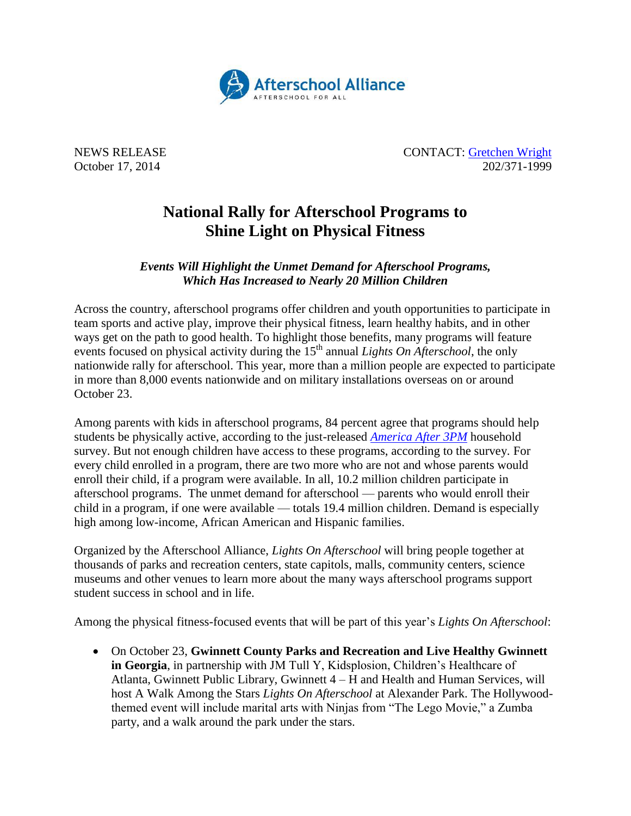

NEWS RELEASE CONTACT: [Gretchen Wright](mailto:gretchen@prsolutionsdc.com) October 17, 2014 202/371-1999

## **National Rally for Afterschool Programs to Shine Light on Physical Fitness**

## *Events Will Highlight the Unmet Demand for Afterschool Programs, Which Has Increased to Nearly 20 Million Children*

Across the country, afterschool programs offer children and youth opportunities to participate in team sports and active play, improve their physical fitness, learn healthy habits, and in other ways get on the path to good health. To highlight those benefits, many programs will feature events focused on physical activity during the 15<sup>th</sup> annual *Lights On Afterschool*, the only nationwide rally for afterschool. This year, more than a million people are expected to participate in more than 8,000 events nationwide and on military installations overseas on or around October 23.

Among parents with kids in afterschool programs, 84 percent agree that programs should help students be physically active, according to the just-released *[America After 3PM](http://www.afterschoolalliance.org/AA3PM)* household survey. But not enough children have access to these programs, according to the survey. For every child enrolled in a program, there are two more who are not and whose parents would enroll their child, if a program were available. In all, 10.2 million children participate in afterschool programs. The unmet demand for afterschool — parents who would enroll their child in a program, if one were available — totals 19.4 million children. Demand is especially high among low-income, African American and Hispanic families.

Organized by the Afterschool Alliance, *Lights On Afterschool* will bring people together at thousands of parks and recreation centers, state capitols, malls, community centers, science museums and other venues to learn more about the many ways afterschool programs support student success in school and in life.

Among the physical fitness-focused events that will be part of this year's *Lights On Afterschool*:

 On October 23, **Gwinnett County Parks and Recreation and Live Healthy Gwinnett in Georgia**, in partnership with JM Tull Y, Kidsplosion, Children's Healthcare of Atlanta, Gwinnett Public Library, Gwinnett 4 – H and Health and Human Services, will host A Walk Among the Stars *Lights On Afterschool* at Alexander Park. The Hollywoodthemed event will include marital arts with Ninjas from "The Lego Movie," a Zumba party, and a walk around the park under the stars.